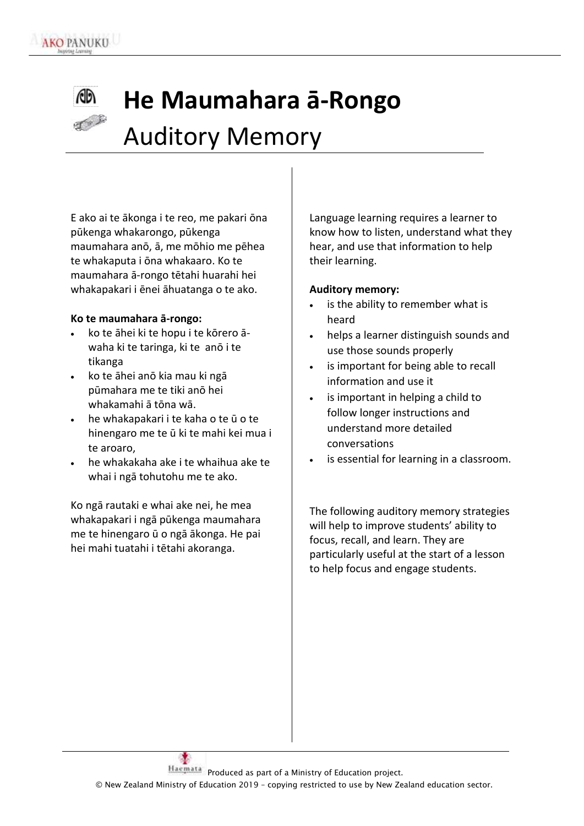### 60 **He Maumahara ā-Rongo** Auditory Memory

E ako ai te ākonga i te reo, me pakari ōna pūkenga whakarongo, pūkenga maumahara anō, ā, me mōhio me pēhea te whakaputa i ōna whakaaro. Ko te maumahara ā-rongo tētahi huarahi hei whakapakari i ēnei āhuatanga o te ako.

#### **Ko te maumahara ā-rongo:**

- ko te āhei ki te hopu i te kōrero āwaha ki te taringa, ki te anō i te tikanga
- ko te āhei anō kia mau ki ngā pūmahara me te tiki anō hei whakamahi ā tōna wā.
- he whakapakari i te kaha o te ū o te hinengaro me te ū ki te mahi kei mua i te aroaro,
- he whakakaha ake i te whaihua ake te whai i ngā tohutohu me te ako.

Ko ngā rautaki e whai ake nei, he mea whakapakari i ngā pūkenga maumahara me te hinengaro ū o ngā ākonga. He pai hei mahi tuatahi i tētahi akoranga.

Language learning requires a learner to know how to listen, understand what they hear, and use that information to help their learning.

#### **Auditory memory:**

- is the ability to remember what is heard
- helps a learner distinguish sounds and use those sounds properly
- is important for being able to recall information and use it
- is important in helping a child to follow longer instructions and understand more detailed conversations
- is essential for learning in a classroom.

The following auditory memory strategies will help to improve students' ability to focus, recall, and learn. They are particularly useful at the start of a lesson to help focus and engage students.

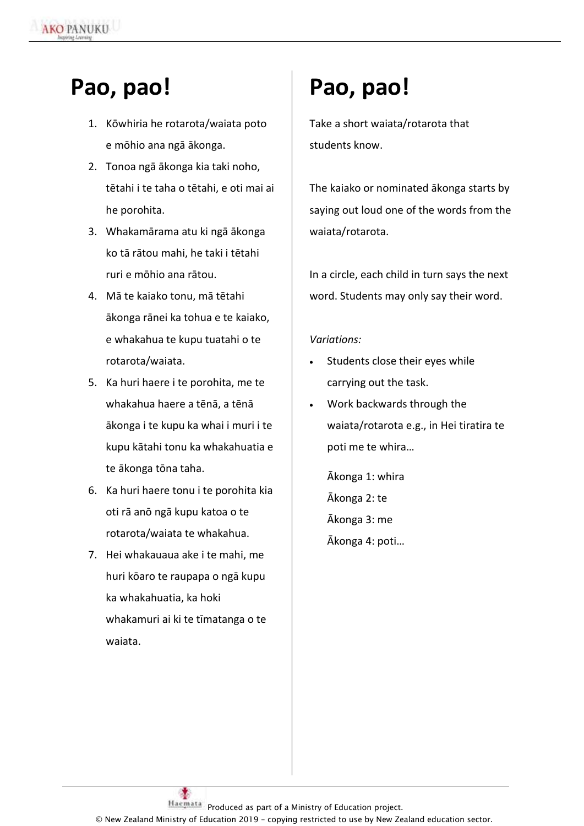### **Pao, pao!**

 $\ddot{\phantom{a}}$ 

- 1. Kōwhiria he rotarota/waiata poto e mōhio ana ngā ākonga.
- 2. Tonoa ngā ākonga kia taki noho, tētahi i te taha o tētahi, e oti mai ai he porohita.
- 3. Whakamārama atu ki ngā ākonga ko tā rātou mahi, he taki i tētahi ruri e mōhio ana rātou.
- 4. Mā te kaiako tonu, mā tētahi ākonga rānei ka tohua e te kaiako, e whakahua te kupu tuatahi o te rotarota/waiata.
- 5. Ka huri haere i te porohita, me te whakahua haere a tēnā, a tēnā ākonga i te kupu ka whai i muri i te kupu kātahi tonu ka whakahuatia e te ākonga tōna taha.
- 6. Ka huri haere tonu i te porohita kia oti rā anō ngā kupu katoa o te rotarota/waiata te whakahua.
- 7. Hei whakauaua ake i te mahi, me huri kōaro te raupapa o ngā kupu ka whakahuatia, ka hoki whakamuri ai ki te tīmatanga o te waiata.

# **Pao, pao!**

Take a short waiata/rotarota that students know.

The kaiako or nominated ākonga starts by saying out loud one of the words from the waiata/rotarota.

In a circle, each child in turn says the next word. Students may only say their word.

#### *Variations:*

- Students close their eyes while carrying out the task.
- Work backwards through the waiata/rotarota e.g., in Hei tiratira te poti me te whira…

Ākonga 1: whira Ākonga 2: te Ākonga 3: me Ākonga 4: poti…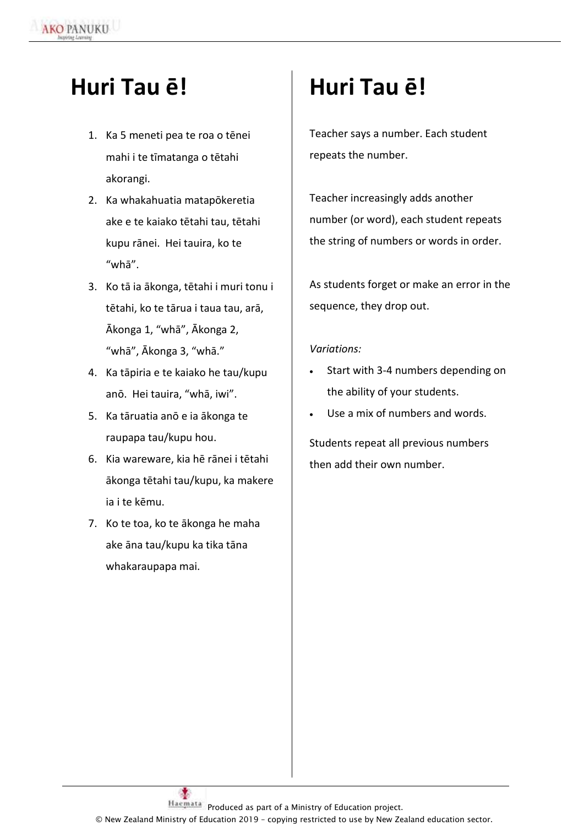## **Huri Tau ē!**

 $\ddot{\phantom{a}}$ 

- 1. Ka 5 meneti pea te roa o tēnei mahi i te tīmatanga o tētahi akorangi.
- 2. Ka whakahuatia matapōkeretia ake e te kaiako tētahi tau, tētahi kupu rānei. Hei tauira, ko te "whā".
- 3. Ko tā ia ākonga, tētahi i muri tonu i tētahi, ko te tārua i taua tau, arā, Ākonga 1, "whā", Ākonga 2, "whā", Ākonga 3, "whā."
- 4. Ka tāpiria e te kaiako he tau/kupu anō. Hei tauira, "whā, iwi".
- 5. Ka tāruatia anō e ia ākonga te raupapa tau/kupu hou.
- 6. Kia wareware, kia hē rānei i tētahi ākonga tētahi tau/kupu, ka makere ia i te kēmu.
- 7. Ko te toa, ko te ākonga he maha ake āna tau/kupu ka tika tāna whakaraupapa mai.

# **Huri Tau ē!**

Teacher says a number. Each student repeats the number.

Teacher increasingly adds another number (or word), each student repeats the string of numbers or words in order.

As students forget or make an error in the sequence, they drop out.

#### *Variations:*

- Start with 3-4 numbers depending on the ability of your students.
- Use a mix of numbers and words.

Students repeat all previous numbers then add their own number.

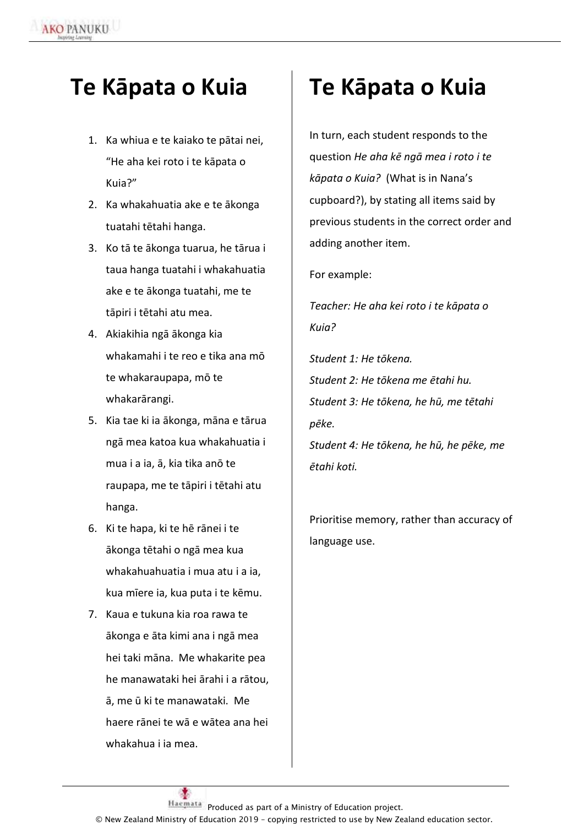### **Te Kāpata o Kuia**

 $\ddot{\phantom{a}}$ 

- 1. Ka whiua e te kaiako te pātai nei, "He aha kei roto i te kāpata o Kuia?"
- 2. Ka whakahuatia ake e te ākonga tuatahi tētahi hanga.
- 3. Ko tā te ākonga tuarua, he tārua i taua hanga tuatahi i whakahuatia ake e te ākonga tuatahi, me te tāpiri i tētahi atu mea.
- 4. Akiakihia ngā ākonga kia whakamahi i te reo e tika ana mō te whakaraupapa, mō te whakarārangi.
- 5. Kia tae ki ia ākonga, māna e tārua ngā mea katoa kua whakahuatia i mua i a ia, ā, kia tika anō te raupapa, me te tāpiri i tētahi atu hanga.
- 6. Ki te hapa, ki te hē rānei i te ākonga tētahi o ngā mea kua whakahuahuatia i mua atu i a ia, kua mīere ia, kua puta i te kēmu.
- 7. Kaua e tukuna kia roa rawa te ākonga e āta kimi ana i ngā mea hei taki māna. Me whakarite pea he manawataki hei ārahi i a rātou, ā, me ū ki te manawataki. Me haere rānei te wā e wātea ana hei whakahua i ia mea.

## **Te Kāpata o Kuia**

In turn, each student responds to the question *He aha kē ngā mea i roto i te kāpata o Kuia?* (What is in Nana's cupboard?), by stating all items said by previous students in the correct order and adding another item.

For example:

*Teacher: He aha kei roto i te kāpata o Kuia?*

*Student 1: He tōkena. Student 2: He tōkena me ētahi hu. Student 3: He tōkena, he hū, me tētahi pēke. Student 4: He tōkena, he hū, he pēke, me ētahi koti.* 

Prioritise memory, rather than accuracy of language use.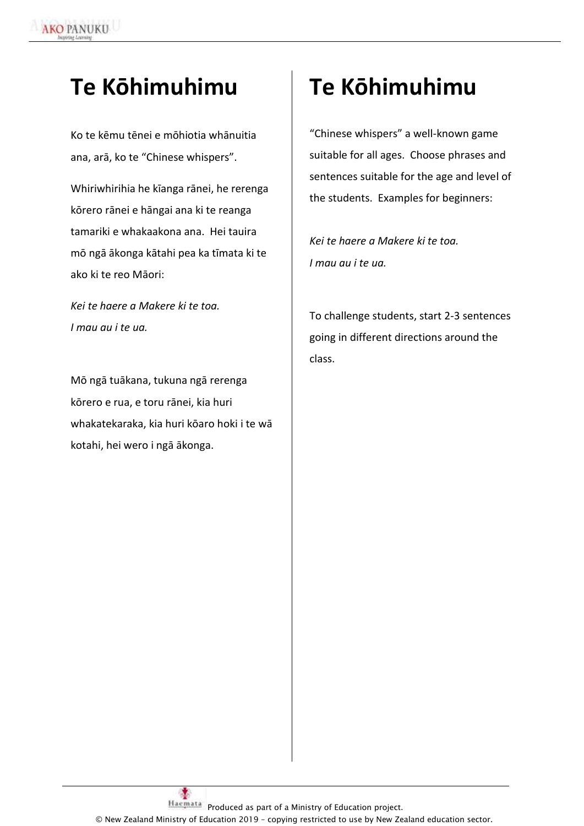## **Te Kōhimuhimu**

 $\ddot{\phantom{a}}$ 

Ko te kēmu tēnei e mōhiotia whānuitia ana, arā, ko te "Chinese whispers".

Whiriwhirihia he kīanga rānei, he rerenga kōrero rānei e hāngai ana ki te reanga tamariki e whakaakona ana. Hei tauira mō ngā ākonga kātahi pea ka tīmata ki te ako ki te reo Māori:

*Kei te haere a Makere ki te toa. I mau au i te ua.* 

Mō ngā tuākana, tukuna ngā rerenga kōrero e rua, e toru rānei, kia huri whakatekaraka, kia huri kōaro hoki i te wā kotahi, hei wero i ngā ākonga.

## **Te Kōhimuhimu**

"Chinese whispers" a well-known game suitable for all ages. Choose phrases and sentences suitable for the age and level of the students. Examples for beginners:

*Kei te haere a Makere ki te toa. I mau au i te ua.* 

To challenge students, start 2-3 sentences going in different directions around the class.